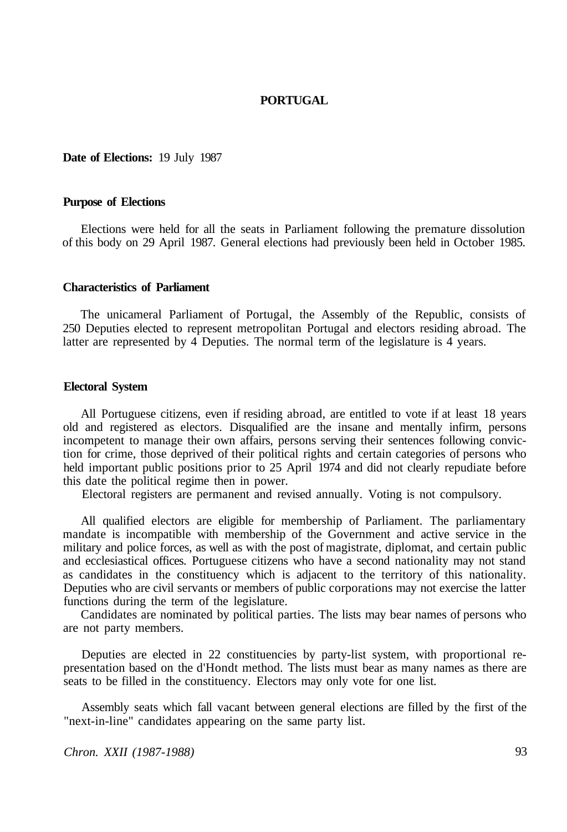### **PORTUGAL**

#### **Date of Elections:** 19 July 1987

#### **Purpose of Elections**

Elections were held for all the seats in Parliament following the premature dissolution of this body on 29 April 1987. General elections had previously been held in October 1985.

#### **Characteristics of Parliament**

The unicameral Parliament of Portugal, the Assembly of the Republic, consists of 250 Deputies elected to represent metropolitan Portugal and electors residing abroad. The latter are represented by 4 Deputies. The normal term of the legislature is 4 years.

#### **Electoral System**

All Portuguese citizens, even if residing abroad, are entitled to vote if at least 18 years old and registered as electors. Disqualified are the insane and mentally infirm, persons incompetent to manage their own affairs, persons serving their sentences following conviction for crime, those deprived of their political rights and certain categories of persons who held important public positions prior to 25 April 1974 and did not clearly repudiate before this date the political regime then in power.

Electoral registers are permanent and revised annually. Voting is not compulsory.

All qualified electors are eligible for membership of Parliament. The parliamentary mandate is incompatible with membership of the Government and active service in the military and police forces, as well as with the post of magistrate, diplomat, and certain public and ecclesiastical offices. Portuguese citizens who have a second nationality may not stand as candidates in the constituency which is adjacent to the territory of this nationality. Deputies who are civil servants or members of public corporations may not exercise the latter functions during the term of the legislature.

Candidates are nominated by political parties. The lists may bear names of persons who are not party members.

Deputies are elected in 22 constituencies by party-list system, with proportional representation based on the d'Hondt method. The lists must bear as many names as there are seats to be filled in the constituency. Electors may only vote for one list.

Assembly seats which fall vacant between general elections are filled by the first of the "next-in-line" candidates appearing on the same party list.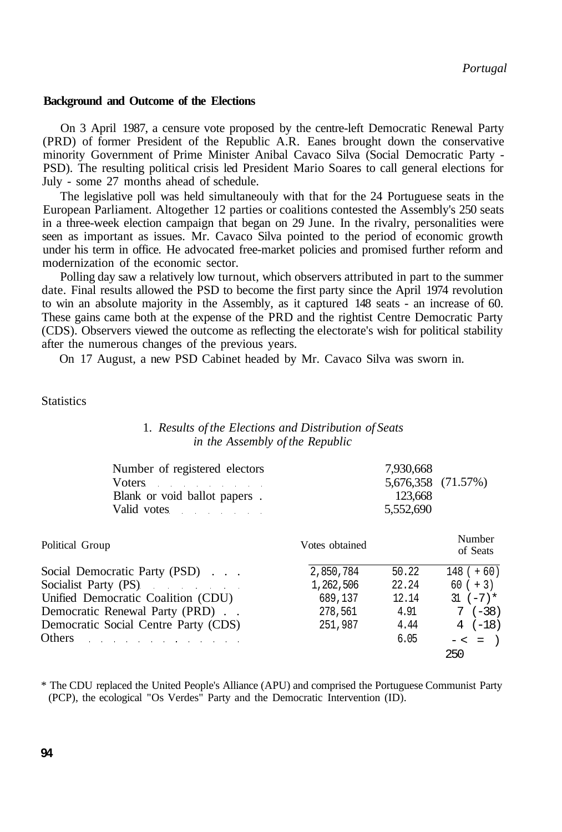#### **Background and Outcome of the Elections**

On 3 April 1987, a censure vote proposed by the centre-left Democratic Renewal Party (PRD) of former President of the Republic A.R. Eanes brought down the conservative minority Government of Prime Minister Anibal Cavaco Silva (Social Democratic Party - PSD). The resulting political crisis led President Mario Soares to call general elections for July - some 27 months ahead of schedule.

The legislative poll was held simultaneouly with that for the 24 Portuguese seats in the European Parliament. Altogether 12 parties or coalitions contested the Assembly's 250 seats in a three-week election campaign that began on 29 June. In the rivalry, personalities were seen as important as issues. Mr. Cavaco Silva pointed to the period of economic growth under his term in office. He advocated free-market policies and promised further reform and modernization of the economic sector.

Polling day saw a relatively low turnout, which observers attributed in part to the summer date. Final results allowed the PSD to become the first party since the April 1974 revolution to win an absolute majority in the Assembly, as it captured 148 seats - an increase of 60. These gains came both at the expense of the PRD and the rightist Centre Democratic Party (CDS). Observers viewed the outcome as reflecting the electorate's wish for political stability after the numerous changes of the previous years.

On 17 August, a new PSD Cabinet headed by Mr. Cavaco Silva was sworn in.

**Statistics** 

### 1. *Results of the Elections and Distribution of Seats in the Assembly of the Republic*

| Number of registered electors                                                                                                                                                                                                  | 7.930.668          |  |
|--------------------------------------------------------------------------------------------------------------------------------------------------------------------------------------------------------------------------------|--------------------|--|
| Voters and the same state of the same state of the same state of the same state of the same state of the same state of the same state of the same state of the same state of the same state of the same state of the same stat | 5,676,358 (71.57%) |  |
| Blank or void ballot papers.                                                                                                                                                                                                   | 123.668            |  |
| Valid votes and the value of the value of the value of the value of the value of the value of the value of the value of the value of the value of the value of the value of the value of the value of the value of the value o | 5.552.690          |  |
|                                                                                                                                                                                                                                |                    |  |

| Political Group                                                                                                                                                                                                                | Votes obtained | Number<br>of Seats |              |  |
|--------------------------------------------------------------------------------------------------------------------------------------------------------------------------------------------------------------------------------|----------------|--------------------|--------------|--|
| Social Democratic Party (PSD)                                                                                                                                                                                                  | 2,850,784      | 50.22              | $148 (+ 60)$ |  |
| Socialist Party (PS)                                                                                                                                                                                                           | 1,262,506      | 22.24              | $60 (+ 3)$   |  |
| Unified Democratic Coalition (CDU)                                                                                                                                                                                             | 689,137        | 12.14              | $31 (-7)*$   |  |
| Democratic Renewal Party (PRD).                                                                                                                                                                                                | 278,561        | 4.91               | $7(-38)$     |  |
| Democratic Social Centre Party (CDS)                                                                                                                                                                                           | 251,987        | 4.44               | $4(-18)$     |  |
| Others and the contract of the contract of the contract of the contract of the contract of the contract of the contract of the contract of the contract of the contract of the contract of the contract of the contract of the |                | 6.05               | $- < =$ )    |  |
|                                                                                                                                                                                                                                |                |                    | 250          |  |

\* The CDU replaced the United People's Alliance (APU) and comprised the Portuguese Communist Party (PCP), the ecological "Os Verdes" Party and the Democratic Intervention (ID).